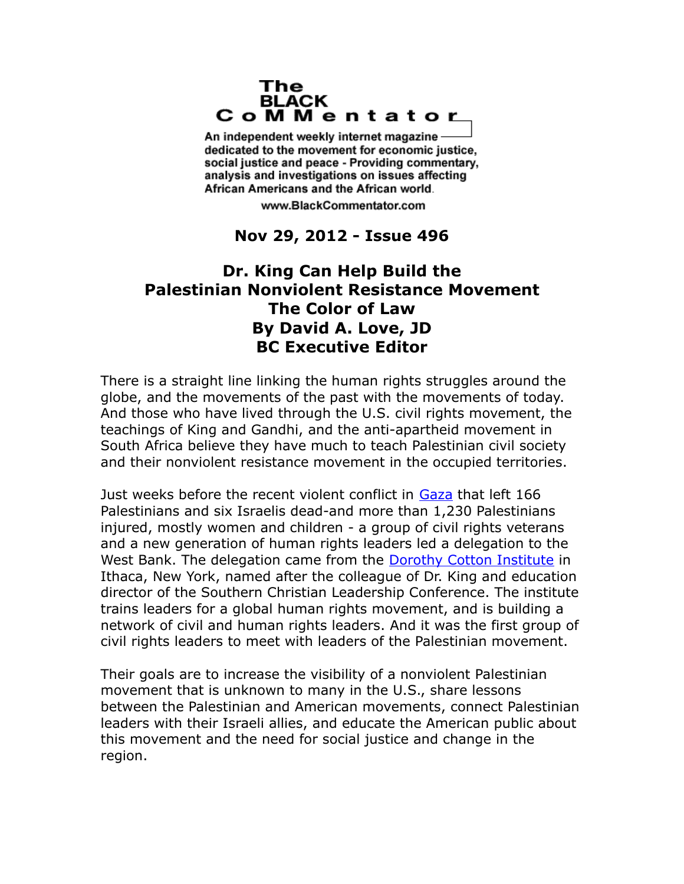## The **BLACK** CoMMentator

An independent weekly internet magazine dedicated to the movement for economic justice. social justice and peace - Providing commentary, analysis and investigations on issues affecting African Americans and the African world.

www.BlackCommentator.com

## **Nov 29, 2012 - Issue 496**

## **Dr. King Can Help Build the Palestinian Nonviolent Resistance Movement The Color of Law By David A. Love, JD BC Executive Editor**

There is a straight line linking the human rights struggles around the globe, and the movements of the past with the movements of today. And those who have lived through the U.S. civil rights movement, the teachings of King and Gandhi, and the anti-apartheid movement in South Africa believe they have much to teach Palestinian civil society and their nonviolent resistance movement in the occupied territories.

Just weeks before the recent violent conflict in [Gaza](http://www.huffingtonpost.com/2012/11/23/gaza-cease-fire_n_2177031.html) that left 166 Palestinians and six Israelis dead-and more than 1,230 Palestinians injured, mostly women and children - a group of civil rights veterans and a new generation of human rights leaders led a delegation to the West Bank. The delegation came from the [Dorothy Cotton Institute](http://www.dorothycottoninstitute.org/) in Ithaca, New York, named after the colleague of Dr. King and education director of the Southern Christian Leadership Conference. The institute trains leaders for a global human rights movement, and is building a network of civil and human rights leaders. And it was the first group of civil rights leaders to meet with leaders of the Palestinian movement.

Their goals are to increase the visibility of a nonviolent Palestinian movement that is unknown to many in the U.S., share lessons between the Palestinian and American movements, connect Palestinian leaders with their Israeli allies, and educate the American public about this movement and the need for social justice and change in the region.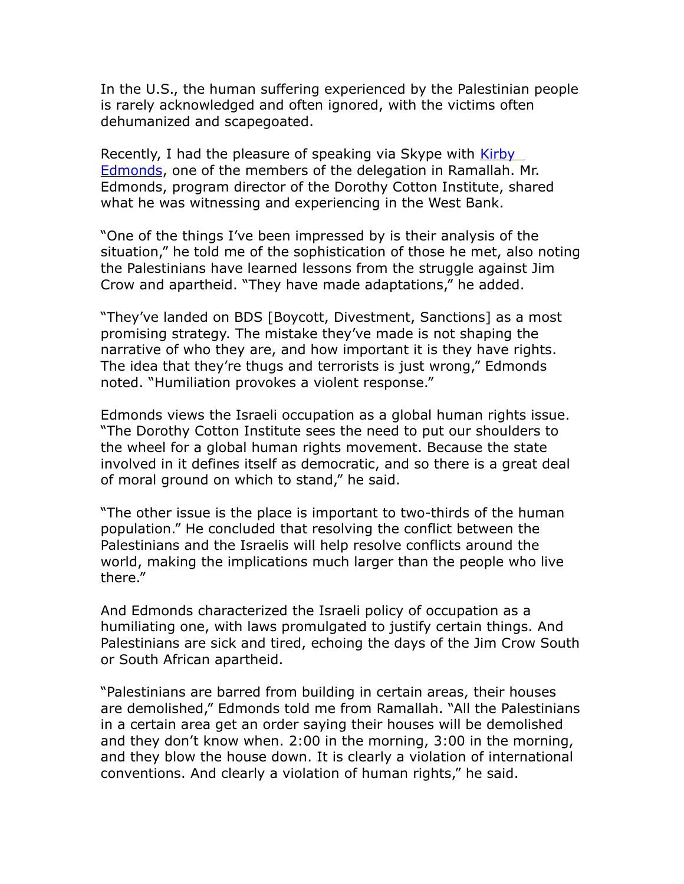In the U.S., the human suffering experienced by the Palestinian people is rarely acknowledged and often ignored, with the victims often dehumanized and scapegoated.

Recently, I had the pleasure of speaking via Skype with Kirby [Edmonds,](http://www.ithaca.com/news/article_aaf6b62c-f486-11e0-8734-001cc4c002e0.html) one of the members of the delegation in Ramallah. Mr. Edmonds, program director of the Dorothy Cotton Institute, shared what he was witnessing and experiencing in the West Bank.

"One of the things I've been impressed by is their analysis of the situation," he told me of the sophistication of those he met, also noting the Palestinians have learned lessons from the struggle against Jim Crow and apartheid. "They have made adaptations," he added.

"They've landed on BDS [Boycott, Divestment, Sanctions] as a most promising strategy. The mistake they've made is not shaping the narrative of who they are, and how important it is they have rights. The idea that they're thugs and terrorists is just wrong," Edmonds noted. "Humiliation provokes a violent response."

Edmonds views the Israeli occupation as a global human rights issue. "The Dorothy Cotton Institute sees the need to put our shoulders to the wheel for a global human rights movement. Because the state involved in it defines itself as democratic, and so there is a great deal of moral ground on which to stand," he said.

"The other issue is the place is important to two-thirds of the human population." He concluded that resolving the conflict between the Palestinians and the Israelis will help resolve conflicts around the world, making the implications much larger than the people who live there."

And Edmonds characterized the Israeli policy of occupation as a humiliating one, with laws promulgated to justify certain things. And Palestinians are sick and tired, echoing the days of the Jim Crow South or South African apartheid.

"Palestinians are barred from building in certain areas, their houses are demolished," Edmonds told me from Ramallah. "All the Palestinians in a certain area get an order saying their houses will be demolished and they don't know when. 2:00 in the morning, 3:00 in the morning, and they blow the house down. It is clearly a violation of international conventions. And clearly a violation of human rights," he said.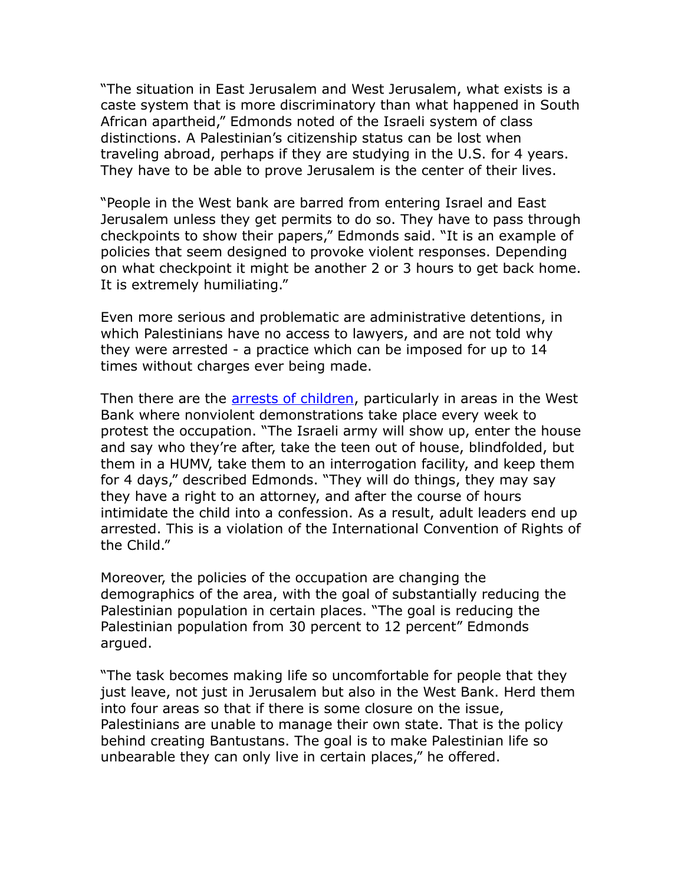"The situation in East Jerusalem and West Jerusalem, what exists is a caste system that is more discriminatory than what happened in South African apartheid," Edmonds noted of the Israeli system of class distinctions. A Palestinian's citizenship status can be lost when traveling abroad, perhaps if they are studying in the U.S. for 4 years. They have to be able to prove Jerusalem is the center of their lives.

"People in the West bank are barred from entering Israel and East Jerusalem unless they get permits to do so. They have to pass through checkpoints to show their papers," Edmonds said. "It is an example of policies that seem designed to provoke violent responses. Depending on what checkpoint it might be another 2 or 3 hours to get back home. It is extremely humiliating."

Even more serious and problematic are administrative detentions, in which Palestinians have no access to lawyers, and are not told why they were arrested - a practice which can be imposed for up to 14 times without charges ever being made.

Then there are the [arrests of children,](http://apps.facebook.com/theguardian/p/3a229/tw) particularly in areas in the West Bank where nonviolent demonstrations take place every week to protest the occupation. "The Israeli army will show up, enter the house and say who they're after, take the teen out of house, blindfolded, but them in a HUMV, take them to an interrogation facility, and keep them for 4 days," described Edmonds. "They will do things, they may say they have a right to an attorney, and after the course of hours intimidate the child into a confession. As a result, adult leaders end up arrested. This is a violation of the International Convention of Rights of the Child."

Moreover, the policies of the occupation are changing the demographics of the area, with the goal of substantially reducing the Palestinian population in certain places. "The goal is reducing the Palestinian population from 30 percent to 12 percent" Edmonds argued.

"The task becomes making life so uncomfortable for people that they just leave, not just in Jerusalem but also in the West Bank. Herd them into four areas so that if there is some closure on the issue, Palestinians are unable to manage their own state. That is the policy behind creating Bantustans. The goal is to make Palestinian life so unbearable they can only live in certain places," he offered.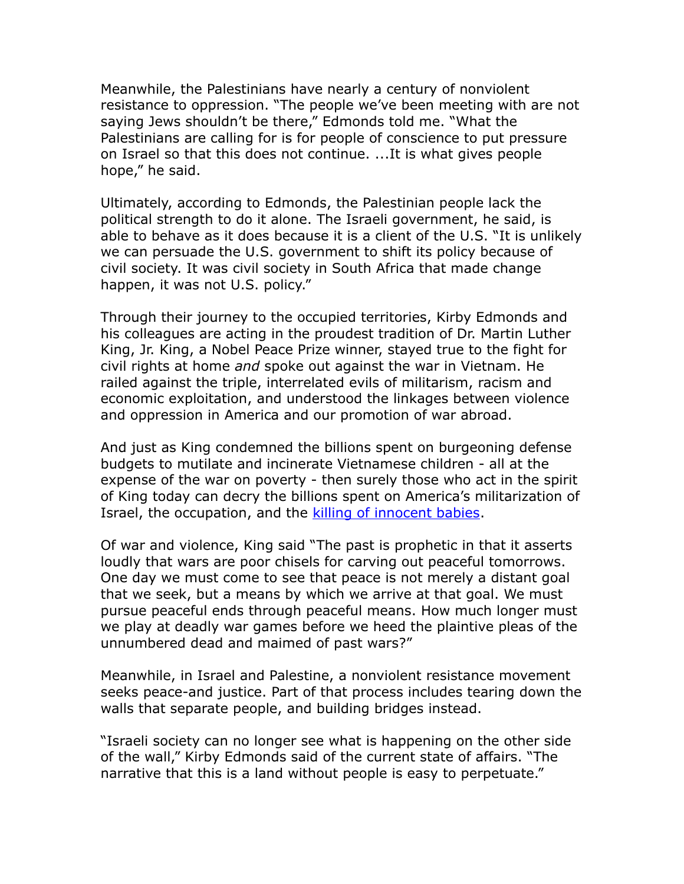Meanwhile, the Palestinians have nearly a century of nonviolent resistance to oppression. "The people we've been meeting with are not saying Jews shouldn't be there," Edmonds told me. "What the Palestinians are calling for is for people of conscience to put pressure on Israel so that this does not continue. ...It is what gives people hope," he said.

Ultimately, according to Edmonds, the Palestinian people lack the political strength to do it alone. The Israeli government, he said, is able to behave as it does because it is a client of the U.S. "It is unlikely we can persuade the U.S. government to shift its policy because of civil society. It was civil society in South Africa that made change happen, it was not U.S. policy."

Through their journey to the occupied territories, Kirby Edmonds and his colleagues are acting in the proudest tradition of Dr. Martin Luther King, Jr. King, a Nobel Peace Prize winner, stayed true to the fight for civil rights at home *and* spoke out against the war in Vietnam. He railed against the triple, interrelated evils of militarism, racism and economic exploitation, and understood the linkages between violence and oppression in America and our promotion of war abroad.

And just as King condemned the billions spent on burgeoning defense budgets to mutilate and incinerate Vietnamese children - all at the expense of the war on poverty - then surely those who act in the spirit of King today can decry the billions spent on America's militarization of Israel, the occupation, and the [killing of innocent babies.](http://occupiedpalestine.wordpress.com/2012/11/20/gazaunderattack-universal-childrens-day-in-gaza-artwork-by-impalestinian/)

Of war and violence, King said "The past is prophetic in that it asserts loudly that wars are poor chisels for carving out peaceful tomorrows. One day we must come to see that peace is not merely a distant goal that we seek, but a means by which we arrive at that goal. We must pursue peaceful ends through peaceful means. How much longer must we play at deadly war games before we heed the plaintive pleas of the unnumbered dead and maimed of past wars?"

Meanwhile, in Israel and Palestine, a nonviolent resistance movement seeks peace-and justice. Part of that process includes tearing down the walls that separate people, and building bridges instead.

"Israeli society can no longer see what is happening on the other side of the wall," Kirby Edmonds said of the current state of affairs. "The narrative that this is a land without people is easy to perpetuate."